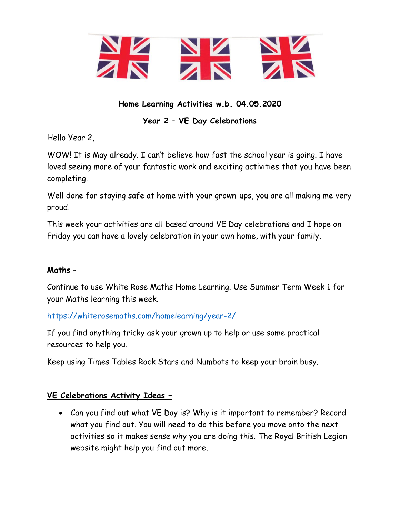

# **Home Learning Activities w.b. 04.05.2020**

# **Year 2 – VE Day Celebrations**

Hello Year 2,

WOW! It is May already. I can't believe how fast the school year is going. I have loved seeing more of your fantastic work and exciting activities that you have been completing.

Well done for staying safe at home with your grown-ups, you are all making me very proud.

This week your activities are all based around VE Day celebrations and I hope on Friday you can have a lovely celebration in your own home, with your family.

## **Maths** –

Continue to use White Rose Maths Home Learning. Use Summer Term Week 1 for your Maths learning this week.

<https://whiterosemaths.com/homelearning/year-2/>

If you find anything tricky ask your grown up to help or use some practical resources to help you.

Keep using Times Tables Rock Stars and Numbots to keep your brain busy.

## **VE Celebrations Activity Ideas –**

 Can you find out what VE Day is? Why is it important to remember? Record what you find out. You will need to do this before you move onto the next activities so it makes sense why you are doing this. The Royal British Legion website might help you find out more.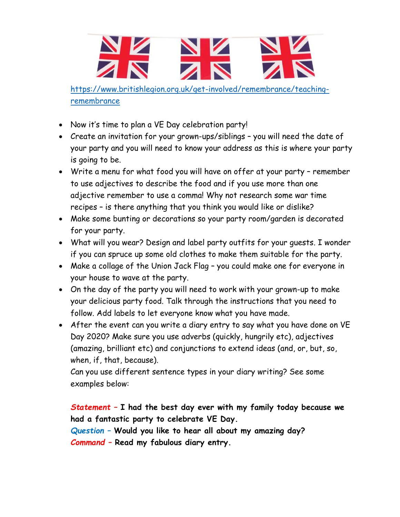

[https://www.britishlegion.org.uk/get-involved/remembrance/teaching](https://www.britishlegion.org.uk/get-involved/remembrance/teaching-remembrance)[remembrance](https://www.britishlegion.org.uk/get-involved/remembrance/teaching-remembrance)

- Now it's time to plan a VE Day celebration party!
- Create an invitation for your grown-ups/siblings you will need the date of your party and you will need to know your address as this is where your party is going to be.
- Write a menu for what food you will have on offer at your party remember to use adjectives to describe the food and if you use more than one adjective remember to use a comma! Why not research some war time recipes – is there anything that you think you would like or dislike?
- Make some bunting or decorations so your party room/garden is decorated for your party.
- What will you wear? Design and label party outfits for your guests. I wonder if you can spruce up some old clothes to make them suitable for the party.
- Make a collage of the Union Jack Flag you could make one for everyone in your house to wave at the party.
- On the day of the party you will need to work with your grown-up to make your delicious party food. Talk through the instructions that you need to follow. Add labels to let everyone know what you have made.
- After the event can you write a diary entry to say what you have done on VE Day 2020? Make sure you use adverbs (quickly, hungrily etc), adjectives (amazing, brilliant etc) and conjunctions to extend ideas (and, or, but, so, when, if, that, because).

Can you use different sentence types in your diary writing? See some examples below:

*Statement –* **I had the best day ever with my family today because we had a fantastic party to celebrate VE Day.**

*Question –* **Would you like to hear all about my amazing day?**

*Command –* **Read my fabulous diary entry.**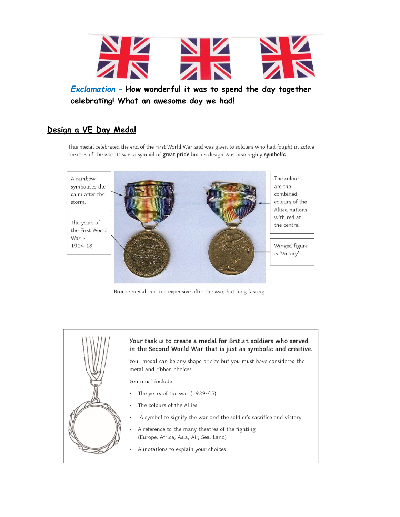

Exclamation - How wonderful it was to spend the day together celebrating! What an awesome day we had!

### Design a VE Day Medal

This medal celebrated the end of the First World War and was given to soldiers who had fought in active theatres of the war. It was a symbol of great pride but its design was also highly symbolic.



Bronze medal, not too expensive after the war, but long lasting.



#### Your task is to create a medal for British soldiers who served in the Second World War that is just as symbolic and creative.

Your medal can be any shape or size but you must have considered the metal and ribbon choices.

You must include:

- The years of the war (1939-45)
- The colours of the Allies .
- A symbol to signify the war and the soldier's sacrifice and victory  $\cdot$
- A reference to the many theatres of the fighting  $\cdot$ (Europe, Africa, Asia, Air, Sea, Land)
- Annotations to explain your choices  $\cdot$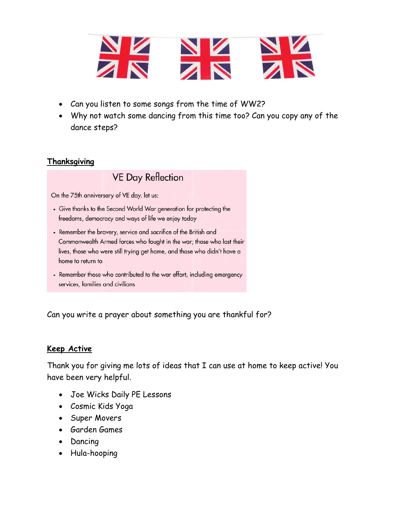

- Can you listen to some songs from the time of WW2?
- Why not watch some dancing from this time too? Can you copy any of the dance steps?

# **Thanksgiving**

# **VE Day Reflection**

On the 75th anniversary of VE day, let us:

- Give thanks to the Second World War generation for protecting the freedoms, democracy and ways of life we enjoy today
- Remember the bravery, service and sacrifice of the British and Commonwealth Armed forces who fought in the war; those who lost their lives, those who were still trying get home, and those who didn't have a home to return to
- Remember those who contributed to the war effort, including emergency services, families and civilians

Can you write a prayer about something you are thankful for?

## **Keep Active**

Thank you for giving me lots of ideas that I can use at home to keep active! You have been very helpful.

- Joe Wicks Daily PE Lessons
- Cosmic Kids Yoga
- Super Movers
- Garden Games
- Dancing
- Hula-hooping